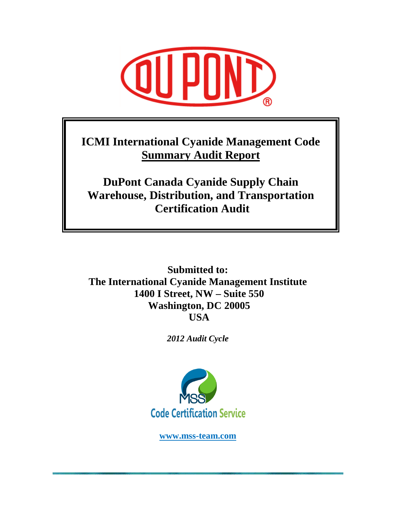

**ICMI International Cyanide Management Code Summary Audit Report**

**DuPont Canada Cyanide Supply Chain Warehouse, Distribution, and Transportation Certification Audit** 

**Submitted to: The International Cyanide Management Institute 1400 I Street, NW – Suite 550 Washington, DC 20005 USA** 

*2012 Audit Cycle* 



**www.mss-team.com**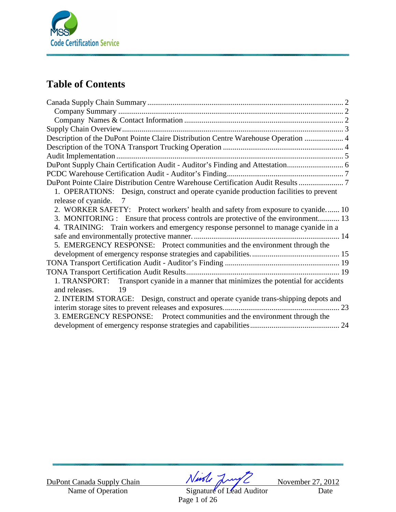

# **Table of Contents**

| Description of the DuPont Pointe Claire Distribution Centre Warehouse Operation  4     |
|----------------------------------------------------------------------------------------|
|                                                                                        |
|                                                                                        |
|                                                                                        |
|                                                                                        |
| DuPont Pointe Claire Distribution Centre Warehouse Certification Audit Results 7       |
| 1. OPERATIONS: Design, construct and operate cyanide production facilities to prevent  |
| release of cyanide.<br>7                                                               |
| 2. WORKER SAFETY: Protect workers' health and safety from exposure to cyanide 10       |
| 3. MONITORING : Ensure that process controls are protective of the environment 13      |
| 4. TRAINING: Train workers and emergency response personnel to manage cyanide in a     |
|                                                                                        |
| 5. EMERGENCY RESPONSE: Protect communities and the environment through the             |
|                                                                                        |
|                                                                                        |
|                                                                                        |
| 1. TRANSPORT: Transport cyanide in a manner that minimizes the potential for accidents |
| 19<br>and releases.                                                                    |
| 2. INTERIM STORAGE: Design, construct and operate cyanide trans-shipping depots and    |
|                                                                                        |
| 3. EMERGENCY RESPONSE: Protect communities and the environment through the             |
|                                                                                        |

DuPont Canada Supply Chain  $\frac{\sqrt{1-\frac{1}{2}}\sqrt{1-\frac{1}{2}}}{\frac{1}{2}}$  November 27, 2012<br>Name of Operation Signature of Lead Auditor Date

Signature of Lead Auditor Date Page 1 of 26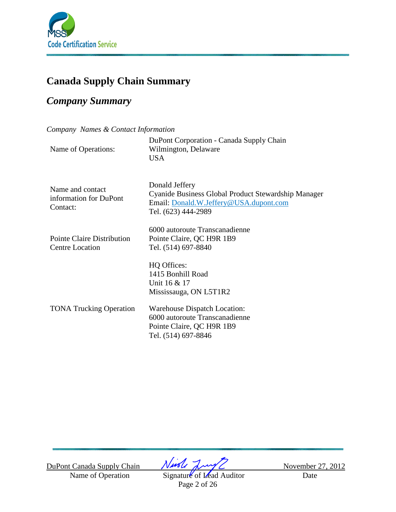

# **Canada Supply Chain Summary**

# *Company Summary*

*Company Names & Contact Information* 

|                     | DuPont Corporation - Canada Supply Chain |
|---------------------|------------------------------------------|
| Name of Operations: | Wilmington, Delaware                     |
|                     | USA                                      |
|                     |                                          |
|                     |                                          |

Name and contact information for DuPont Contact:

Pointe Claire Distribution Centre Location

Donald Jeffery Cyanide Business Global Product Stewardship Manager Email: Donald.W.Jeffery@USA.dupont.com Tel. (623) 444-2989

6000 autoroute Transcanadienne Pointe Claire, QC H9R 1B9 Tel. (514) 697-8840

HQ Offices: 1415 Bonhill Road Unit 16 & 17 Mississauga, ON L5T1R2

TONA Trucking Operation

Warehouse Dispatch Location: 6000 autoroute Transcanadienne Pointe Claire, QC H9R 1B9 Tel. (514) 697-8846

DuPont Canada Supply Chain  $\sqrt{M\sqrt{L}}$  November 27, 2012

Name of Operation Signature of Lead Auditor Date Page 2 of 26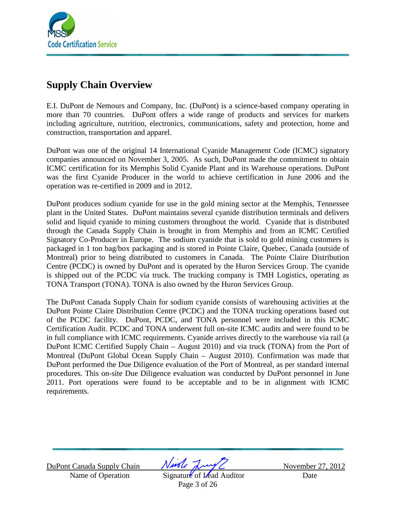

# **Supply Chain Overview**

E.I. DuPont de Nemours and Company, Inc. (DuPont) is a science-based company operating in more than 70 countries. DuPont offers a wide range of products and services for markets including agriculture, nutrition, electronics, communications, safety and protection, home and construction, transportation and apparel.

DuPont was one of the original 14 International Cyanide Management Code (ICMC) signatory companies announced on November 3, 2005. As such, DuPont made the commitment to obtain ICMC certification for its Memphis Solid Cyanide Plant and its Warehouse operations. DuPont was the first Cyanide Producer in the world to achieve certification in June 2006 and the operation was re-certified in 2009 and in 2012.

DuPont produces sodium cyanide for use in the gold mining sector at the Memphis, Tennessee plant in the United States. DuPont maintains several cyanide distribution terminals and delivers solid and liquid cyanide to mining customers throughout the world. Cyanide that is distributed through the Canada Supply Chain is brought in from Memphis and from an ICMC Certified Signatory Co-Producer in Europe. The sodium cyanide that is sold to gold mining customers is packaged in 1 ton bag/box packaging and is stored in Pointe Claire, Quebec, Canada (outside of Montreal) prior to being distributed to customers in Canada. The Pointe Claire Distribution Centre (PCDC) is owned by DuPont and is operated by the Huron Services Group. The cyanide is shipped out of the PCDC via truck. The trucking company is TMH Logistics, operating as TONA Transport (TONA). TONA is also owned by the Huron Services Group.

The DuPont Canada Supply Chain for sodium cyanide consists of warehousing activities at the DuPont Pointe Claire Distribution Centre (PCDC) and the TONA trucking operations based out of the PCDC facility. DuPont, PCDC, and TONA personnel were included in this ICMC Certification Audit. PCDC and TONA underwent full on-site ICMC audits and were found to be in full compliance with ICMC requirements. Cyanide arrives directly to the warehouse via rail (a DuPont ICMC Certified Supply Chain – August 2010) and via truck (TONA) from the Port of Montreal (DuPont Global Ocean Supply Chain – August 2010). Confirmation was made that DuPont performed the Due Diligence evaluation of the Port of Montreal, as per standard internal procedures. This on-site Due Diligence evaluation was conducted by DuPont personnel in June 2011. Port operations were found to be acceptable and to be in alignment with ICMC requirements.

DuPont Canada Supply Chain  $\sqrt{M\sqrt{L}}$  November 27, 2012

Name of Operation Signature of Lead Auditor Date Page 3 of 26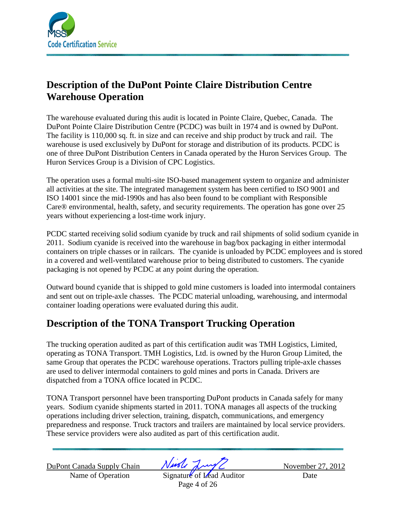

# **Description of the DuPont Pointe Claire Distribution Centre Warehouse Operation**

The warehouse evaluated during this audit is located in Pointe Claire, Quebec, Canada. The DuPont Pointe Claire Distribution Centre (PCDC) was built in 1974 and is owned by DuPont. The facility is 110,000 sq. ft. in size and can receive and ship product by truck and rail. The warehouse is used exclusively by DuPont for storage and distribution of its products. PCDC is one of three DuPont Distribution Centers in Canada operated by the Huron Services Group. The Huron Services Group is a Division of CPC Logistics.

The operation uses a formal multi-site ISO-based management system to organize and administer all activities at the site. The integrated management system has been certified to ISO 9001 and ISO 14001 since the mid-1990s and has also been found to be compliant with Responsible Care® environmental, health, safety, and security requirements. The operation has gone over 25 years without experiencing a lost-time work injury.

PCDC started receiving solid sodium cyanide by truck and rail shipments of solid sodium cyanide in 2011. Sodium cyanide is received into the warehouse in bag/box packaging in either intermodal containers on triple chasses or in railcars. The cyanide is unloaded by PCDC employees and is stored in a covered and well-ventilated warehouse prior to being distributed to customers. The cyanide packaging is not opened by PCDC at any point during the operation.

Outward bound cyanide that is shipped to gold mine customers is loaded into intermodal containers and sent out on triple-axle chasses. The PCDC material unloading, warehousing, and intermodal container loading operations were evaluated during this audit.

# **Description of the TONA Transport Trucking Operation**

The trucking operation audited as part of this certification audit was TMH Logistics, Limited, operating as TONA Transport. TMH Logistics, Ltd. is owned by the Huron Group Limited, the same Group that operates the PCDC warehouse operations. Tractors pulling triple-axle chasses are used to deliver intermodal containers to gold mines and ports in Canada. Drivers are dispatched from a TONA office located in PCDC.

TONA Transport personnel have been transporting DuPont products in Canada safely for many years. Sodium cyanide shipments started in 2011. TONA manages all aspects of the trucking operations including driver selection, training, dispatch, communications, and emergency preparedness and response. Truck tractors and trailers are maintained by local service providers. These service providers were also audited as part of this certification audit.

DuPont Canada Supply Chain  $N$ wole  $\frac{N}{N}$ 

Name of Operation Signature of Lead Auditor Date Page 4 of 26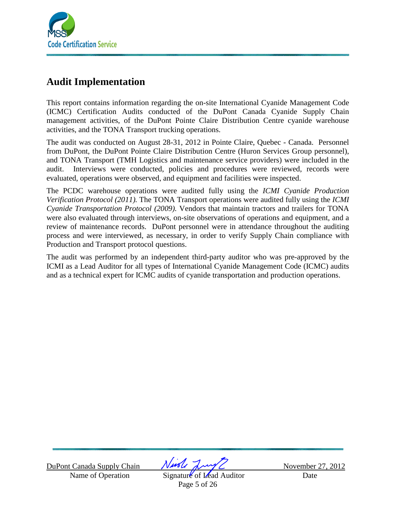

# **Audit Implementation**

This report contains information regarding the on-site International Cyanide Management Code (ICMC) Certification Audits conducted of the DuPont Canada Cyanide Supply Chain management activities, of the DuPont Pointe Claire Distribution Centre cyanide warehouse activities, and the TONA Transport trucking operations.

The audit was conducted on August 28-31, 2012 in Pointe Claire, Quebec - Canada. Personnel from DuPont, the DuPont Pointe Claire Distribution Centre (Huron Services Group personnel), and TONA Transport (TMH Logistics and maintenance service providers) were included in the audit. Interviews were conducted, policies and procedures were reviewed, records were evaluated, operations were observed, and equipment and facilities were inspected.

The PCDC warehouse operations were audited fully using the *ICMI Cyanide Production Verification Protocol (2011).* The TONA Transport operations were audited fully using the *ICMI Cyanide Transportation Protocol (2009).* Vendors that maintain tractors and trailers for TONA were also evaluated through interviews, on-site observations of operations and equipment, and a review of maintenance records. DuPont personnel were in attendance throughout the auditing process and were interviewed, as necessary, in order to verify Supply Chain compliance with Production and Transport protocol questions.

The audit was performed by an independent third-party auditor who was pre-approved by the ICMI as a Lead Auditor for all types of International Cyanide Management Code (ICMC) audits and as a technical expert for ICMC audits of cyanide transportation and production operations.

DuPont Canada Supply Chain  $\sqrt{M\sqrt{L}}$  November 27, 2012

Name of Operation Signature of Lead Auditor Date Page 5 of 26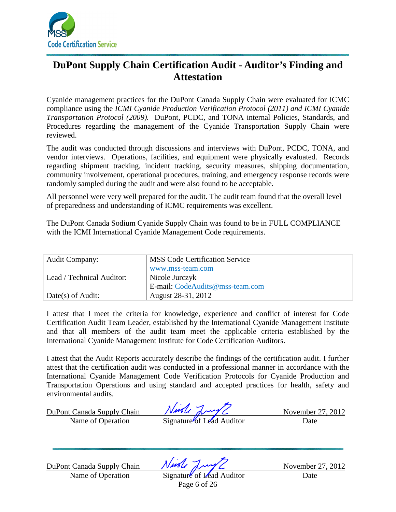

# **DuPont Supply Chain Certification Audit - Auditor's Finding and Attestation**

Cyanide management practices for the DuPont Canada Supply Chain were evaluated for ICMC compliance using the *ICMI Cyanide Production Verification Protocol (2011) and ICMI Cyanide Transportation Protocol (2009).* DuPont, PCDC, and TONA internal Policies, Standards, and Procedures regarding the management of the Cyanide Transportation Supply Chain were reviewed.

The audit was conducted through discussions and interviews with DuPont, PCDC, TONA, and vendor interviews. Operations, facilities, and equipment were physically evaluated. Records regarding shipment tracking, incident tracking, security measures, shipping documentation, community involvement, operational procedures, training, and emergency response records were randomly sampled during the audit and were also found to be acceptable.

All personnel were very well prepared for the audit. The audit team found that the overall level of preparedness and understanding of ICMC requirements was excellent.

The DuPont Canada Sodium Cyanide Supply Chain was found to be in FULL COMPLIANCE with the ICMI International Cyanide Management Code requirements.

| <b>Audit Company:</b>     | <b>MSS Code Certification Service</b> |
|---------------------------|---------------------------------------|
|                           | www.mss-team.com                      |
| Lead / Technical Auditor: | Nicole Jurczyk                        |
|                           | E-mail: CodeAudits@mss-team.com       |
| Date(s) of Audit:         | August 28-31, 2012                    |

I attest that I meet the criteria for knowledge, experience and conflict of interest for Code Certification Audit Team Leader, established by the International Cyanide Management Institute and that all members of the audit team meet the applicable criteria established by the International Cyanide Management Institute for Code Certification Auditors.

I attest that the Audit Reports accurately describe the findings of the certification audit. I further attest that the certification audit was conducted in a professional manner in accordance with the International Cyanide Management Code Verification Protocols for Cyanide Production and Transportation Operations and using standard and accepted practices for health, safety and environmental audits.

DuPont Canada Supply Chain  $\sqrt{M\sqrt{L}}$  November 27, 2012 Name of Operation Signature of Lead Auditor Date

DuPont Canada Supply Chain  $\sqrt{M\sqrt{L}}$  November 27, 2012

Name of Operation Signature of Lead Auditor Date

Page 6 of 26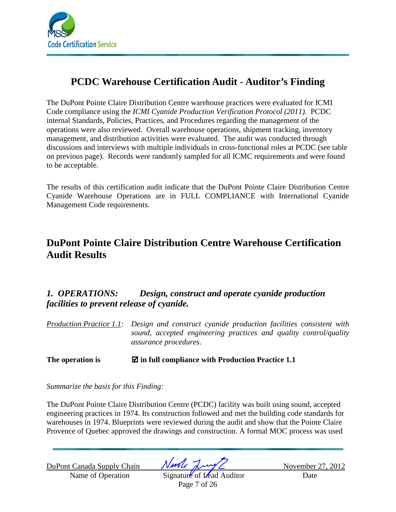

# **PCDC Warehouse Certification Audit - Auditor's Finding**

The DuPont Pointe Claire Distribution Centre warehouse practices were evaluated for ICMI Code compliance using the *ICMI Cyanide Production Verification Protocol (2011).* PCDC internal Standards, Policies, Practices, and Procedures regarding the management of the operations were also reviewed. Overall warehouse operations, shipment tracking, inventory management, and distribution activities were evaluated. The audit was conducted through discussions and interviews with multiple individuals in cross-functional roles at PCDC (see table on previous page). Records were randomly sampled for all ICMC requirements and were found to be acceptable.

The results of this certification audit indicate that the DuPont Pointe Claire Distribution Centre Cyanide Warehouse Operations are in FULL COMPLIANCE with International Cyanide Management Code requirements.

# **DuPont Pointe Claire Distribution Centre Warehouse Certification Audit Results**

# *1. OPERATIONS: Design, construct and operate cyanide production facilities to prevent release of cyanide.*

*Production Practice 1.1: Design and construct cyanide production facilities consistent with sound, accepted engineering practices and quality control/quality assurance procedures.*

## **The operation is in full compliance with Production Practice 1.1**

*Summarize the basis for this Finding:* 

The DuPont Pointe Claire Distribution Centre (PCDC) facility was built using sound, accepted engineering practices in 1974. Its construction followed and met the building code standards for warehouses in 1974. Blueprints were reviewed during the audit and show that the Pointe Claire Provence of Quebec approved the drawings and construction. A formal MOC process was used

DuPont Canada Supply Chain  $\sqrt{M\sqrt{L}}$  November 27, 2012

Name of Operation Signature of Lead Auditor Date Page 7 of 26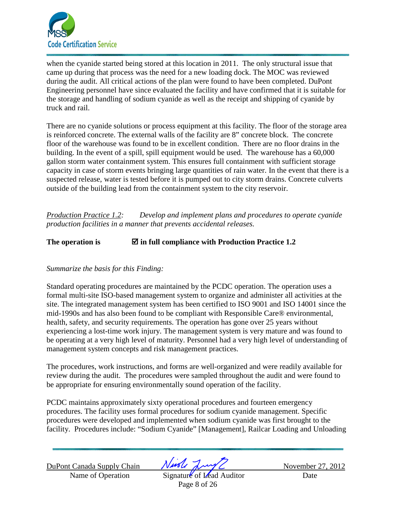

when the cyanide started being stored at this location in 2011. The only structural issue that came up during that process was the need for a new loading dock. The MOC was reviewed during the audit. All critical actions of the plan were found to have been completed. DuPont Engineering personnel have since evaluated the facility and have confirmed that it is suitable for the storage and handling of sodium cyanide as well as the receipt and shipping of cyanide by truck and rail.

There are no cyanide solutions or process equipment at this facility. The floor of the storage area is reinforced concrete. The external walls of the facility are 8" concrete block. The concrete floor of the warehouse was found to be in excellent condition. There are no floor drains in the building. In the event of a spill, spill equipment would be used. The warehouse has a 60,000 gallon storm water containment system. This ensures full containment with sufficient storage capacity in case of storm events bringing large quantities of rain water. In the event that there is a suspected release, water is tested before it is pumped out to city storm drains. Concrete culverts outside of the building lead from the containment system to the city reservoir.

*Production Practice 1.2: Develop and implement plans and procedures to operate cyanide production facilities in a manner that prevents accidental releases.* 

The operation is  $\Box$  in full compliance with Production Practice 1.2

### *Summarize the basis for this Finding:*

Standard operating procedures are maintained by the PCDC operation. The operation uses a formal multi-site ISO-based management system to organize and administer all activities at the site. The integrated management system has been certified to ISO 9001 and ISO 14001 since the mid-1990s and has also been found to be compliant with Responsible Care® environmental, health, safety, and security requirements. The operation has gone over 25 years without experiencing a lost-time work injury. The management system is very mature and was found to be operating at a very high level of maturity. Personnel had a very high level of understanding of management system concepts and risk management practices.

The procedures, work instructions, and forms are well-organized and were readily available for review during the audit. The procedures were sampled throughout the audit and were found to be appropriate for ensuring environmentally sound operation of the facility.

PCDC maintains approximately sixty operational procedures and fourteen emergency procedures. The facility uses formal procedures for sodium cyanide management. Specific procedures were developed and implemented when sodium cyanide was first brought to the facility. Procedures include: "Sodium Cyanide" [Management], Railcar Loading and Unloading

DuPont Canada Supply Chain  $\sqrt{M\sqrt{L}}$  November 27, 2012

Name of Operation Signature of Lead Auditor Date Page 8 of 26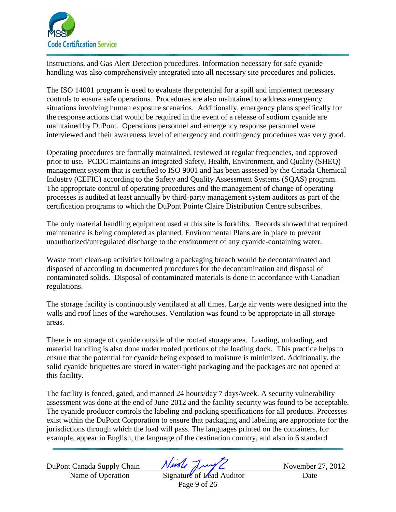

Instructions, and Gas Alert Detection procedures. Information necessary for safe cyanide handling was also comprehensively integrated into all necessary site procedures and policies.

The ISO 14001 program is used to evaluate the potential for a spill and implement necessary controls to ensure safe operations. Procedures are also maintained to address emergency situations involving human exposure scenarios. Additionally, emergency plans specifically for the response actions that would be required in the event of a release of sodium cyanide are maintained by DuPont. Operations personnel and emergency response personnel were interviewed and their awareness level of emergency and contingency procedures was very good.

Operating procedures are formally maintained, reviewed at regular frequencies, and approved prior to use. PCDC maintains an integrated Safety, Health, Environment, and Quality (SHEQ) management system that is certified to ISO 9001 and has been assessed by the Canada Chemical Industry (CEFIC) according to the Safety and Quality Assessment Systems (SQAS) program. The appropriate control of operating procedures and the management of change of operating processes is audited at least annually by third-party management system auditors as part of the certification programs to which the DuPont Pointe Claire Distribution Centre subscribes.

The only material handling equipment used at this site is forklifts. Records showed that required maintenance is being completed as planned. Environmental Plans are in place to prevent unauthorized/unregulated discharge to the environment of any cyanide-containing water.

Waste from clean-up activities following a packaging breach would be decontaminated and disposed of according to documented procedures for the decontamination and disposal of contaminated solids. Disposal of contaminated materials is done in accordance with Canadian regulations.

The storage facility is continuously ventilated at all times. Large air vents were designed into the walls and roof lines of the warehouses. Ventilation was found to be appropriate in all storage areas.

There is no storage of cyanide outside of the roofed storage area. Loading, unloading, and material handling is also done under roofed portions of the loading dock. This practice helps to ensure that the potential for cyanide being exposed to moisture is minimized. Additionally, the solid cyanide briquettes are stored in water-tight packaging and the packages are not opened at this facility.

The facility is fenced, gated, and manned 24 hours/day 7 days/week. A security vulnerability assessment was done at the end of June 2012 and the facility security was found to be acceptable. The cyanide producer controls the labeling and packing specifications for all products. Processes exist within the DuPont Corporation to ensure that packaging and labeling are appropriate for the jurisdictions through which the load will pass. The languages printed on the containers, for example, appear in English, the language of the destination country, and also in 6 standard

DuPont Canada Supply Chain  $N$ wole  $\frac{N}{N}$ 

Name of Operation Signature of Lead Auditor Date Page 9 of 26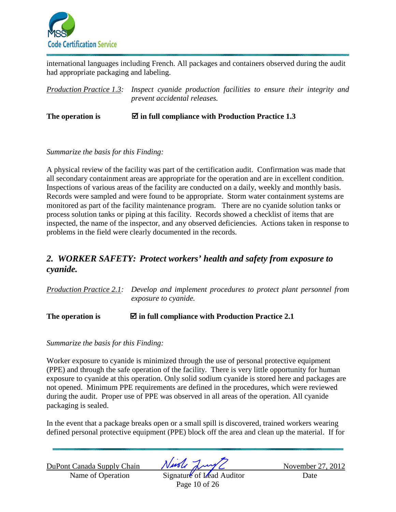

international languages including French. All packages and containers observed during the audit had appropriate packaging and labeling.

*Production Practice 1.3: Inspect cyanide production facilities to ensure their integrity and prevent accidental releases.* 

The operation is  $\Box$  in full compliance with Production Practice 1.3

#### *Summarize the basis for this Finding:*

A physical review of the facility was part of the certification audit. Confirmation was made that all secondary containment areas are appropriate for the operation and are in excellent condition. Inspections of various areas of the facility are conducted on a daily, weekly and monthly basis. Records were sampled and were found to be appropriate. Storm water containment systems are monitored as part of the facility maintenance program. There are no cyanide solution tanks or process solution tanks or piping at this facility. Records showed a checklist of items that are inspected, the name of the inspector, and any observed deficiencies. Actions taken in response to problems in the field were clearly documented in the records.

## *2. WORKER SAFETY: Protect workers' health and safety from exposure to cyanide.*

*Production Practice 2.1: Develop and implement procedures to protect plant personnel from exposure to cyanide.* 

**The operation is in full compliance with Production Practice 2.1** 

*Summarize the basis for this Finding:* 

Worker exposure to cyanide is minimized through the use of personal protective equipment (PPE) and through the safe operation of the facility. There is very little opportunity for human exposure to cyanide at this operation. Only solid sodium cyanide is stored here and packages are not opened. Minimum PPE requirements are defined in the procedures, which were reviewed during the audit. Proper use of PPE was observed in all areas of the operation. All cyanide packaging is sealed.

In the event that a package breaks open or a small spill is discovered, trained workers wearing defined personal protective equipment (PPE) block off the area and clean up the material. If for

DuPont Canada Supply Chain  $\sqrt{M\sqrt{L}}$  November 27, 2012

Name of Operation Signature of Lead Auditor Date Page 10 of 26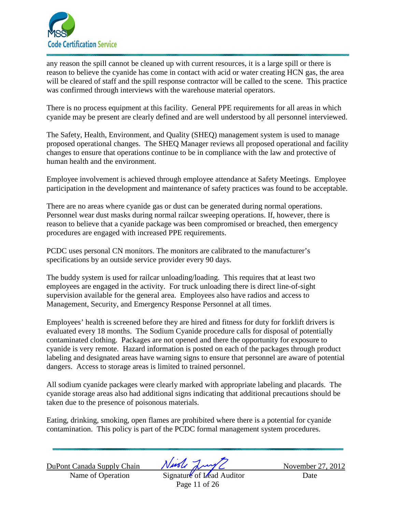

any reason the spill cannot be cleaned up with current resources, it is a large spill or there is reason to believe the cyanide has come in contact with acid or water creating HCN gas, the area will be cleared of staff and the spill response contractor will be called to the scene. This practice was confirmed through interviews with the warehouse material operators.

There is no process equipment at this facility. General PPE requirements for all areas in which cyanide may be present are clearly defined and are well understood by all personnel interviewed.

The Safety, Health, Environment, and Quality (SHEQ) management system is used to manage proposed operational changes. The SHEQ Manager reviews all proposed operational and facility changes to ensure that operations continue to be in compliance with the law and protective of human health and the environment.

Employee involvement is achieved through employee attendance at Safety Meetings. Employee participation in the development and maintenance of safety practices was found to be acceptable.

There are no areas where cyanide gas or dust can be generated during normal operations. Personnel wear dust masks during normal railcar sweeping operations. If, however, there is reason to believe that a cyanide package was been compromised or breached, then emergency procedures are engaged with increased PPE requirements.

PCDC uses personal CN monitors. The monitors are calibrated to the manufacturer's specifications by an outside service provider every 90 days.

The buddy system is used for railcar unloading/loading. This requires that at least two employees are engaged in the activity. For truck unloading there is direct line-of-sight supervision available for the general area. Employees also have radios and access to Management, Security, and Emergency Response Personnel at all times.

Employees' health is screened before they are hired and fitness for duty for forklift drivers is evaluated every 18 months. The Sodium Cyanide procedure calls for disposal of potentially contaminated clothing. Packages are not opened and there the opportunity for exposure to cyanide is very remote. Hazard information is posted on each of the packages through product labeling and designated areas have warning signs to ensure that personnel are aware of potential dangers. Access to storage areas is limited to trained personnel.

All sodium cyanide packages were clearly marked with appropriate labeling and placards. The cyanide storage areas also had additional signs indicating that additional precautions should be taken due to the presence of poisonous materials.

Eating, drinking, smoking, open flames are prohibited where there is a potential for cyanide contamination. This policy is part of the PCDC formal management system procedures.

DuPont Canada Supply Chain  $N$ wole  $\frac{N}{N}$ 

Name of Operation Signature of Lead Auditor Date Page 11 of 26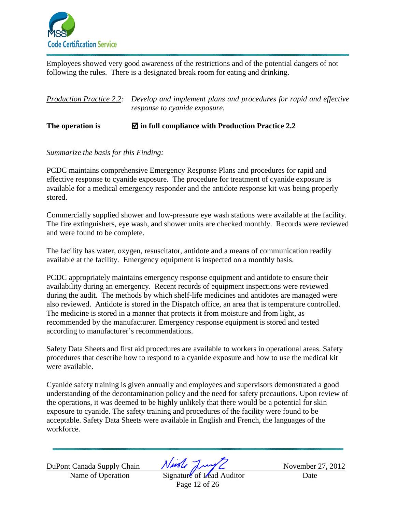

Employees showed very good awareness of the restrictions and of the potential dangers of not following the rules. There is a designated break room for eating and drinking.

| Production Practice 2.2: Develop and implement plans and procedures for rapid and effective |
|---------------------------------------------------------------------------------------------|
| <i>response to cyanide exposure.</i>                                                        |

### **The operation is in full compliance with Production Practice 2.2**

#### *Summarize the basis for this Finding:*

PCDC maintains comprehensive Emergency Response Plans and procedures for rapid and effective response to cyanide exposure. The procedure for treatment of cyanide exposure is available for a medical emergency responder and the antidote response kit was being properly stored.

Commercially supplied shower and low-pressure eye wash stations were available at the facility. The fire extinguishers, eye wash, and shower units are checked monthly. Records were reviewed and were found to be complete.

The facility has water, oxygen, resuscitator, antidote and a means of communication readily available at the facility. Emergency equipment is inspected on a monthly basis.

PCDC appropriately maintains emergency response equipment and antidote to ensure their availability during an emergency. Recent records of equipment inspections were reviewed during the audit. The methods by which shelf-life medicines and antidotes are managed were also reviewed. Antidote is stored in the Dispatch office, an area that is temperature controlled. The medicine is stored in a manner that protects it from moisture and from light, as recommended by the manufacturer. Emergency response equipment is stored and tested according to manufacturer's recommendations.

Safety Data Sheets and first aid procedures are available to workers in operational areas. Safety procedures that describe how to respond to a cyanide exposure and how to use the medical kit were available.

Cyanide safety training is given annually and employees and supervisors demonstrated a good understanding of the decontamination policy and the need for safety precautions. Upon review of the operations, it was deemed to be highly unlikely that there would be a potential for skin exposure to cyanide. The safety training and procedures of the facility were found to be acceptable. Safety Data Sheets were available in English and French, the languages of the workforce.

DuPont Canada Supply Chain  $\sqrt{M\sqrt{L}}$  November 27, 2012

Name of Operation Signature of Lead Auditor Date Page 12 of 26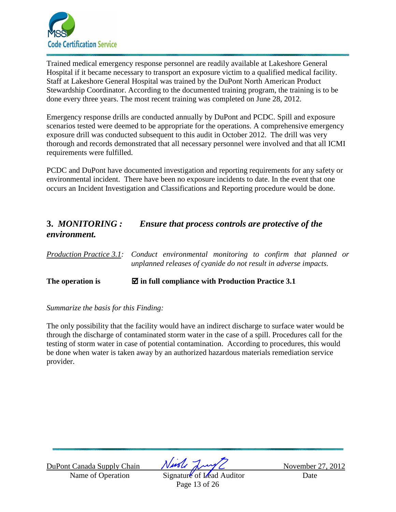

Trained medical emergency response personnel are readily available at Lakeshore General Hospital if it became necessary to transport an exposure victim to a qualified medical facility. Staff at Lakeshore General Hospital was trained by the DuPont North American Product Stewardship Coordinator. According to the documented training program, the training is to be done every three years. The most recent training was completed on June 28, 2012.

Emergency response drills are conducted annually by DuPont and PCDC. Spill and exposure scenarios tested were deemed to be appropriate for the operations. A comprehensive emergency exposure drill was conducted subsequent to this audit in October 2012. The drill was very thorough and records demonstrated that all necessary personnel were involved and that all ICMI requirements were fulfilled.

PCDC and DuPont have documented investigation and reporting requirements for any safety or environmental incident. There have been no exposure incidents to date. In the event that one occurs an Incident Investigation and Classifications and Reporting procedure would be done.

## **3.** *MONITORING : Ensure that process controls are protective of the environment.*

| $\sim$ $\sim$ $\sim$ $\sim$ $\sim$ $\sim$ $\sim$                                     |  |
|--------------------------------------------------------------------------------------|--|
| unplanned releases of cyanide do not result in adverse impacts.                      |  |
| Production Practice 3.1: Conduct environmental monitoring to confirm that planned or |  |

## **The operation is in full compliance with Production Practice 3.1**

*Summarize the basis for this Finding:* 

The only possibility that the facility would have an indirect discharge to surface water would be through the discharge of contaminated storm water in the case of a spill. Procedures call for the testing of storm water in case of potential contamination. According to procedures, this would be done when water is taken away by an authorized hazardous materials remediation service provider.

DuPont Canada Supply Chain  $\sqrt{M\sqrt{L}}$  November 27, 2012

Name of Operation Signature of Lead Auditor Date Page 13 of 26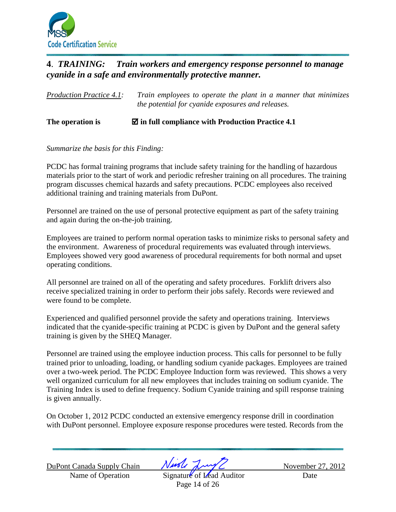

## **4**. *TRAINING: Train workers and emergency response personnel to manage cyanide in a safe and environmentally protective manner.*

*Production Practice 4.1: Train employees to operate the plant in a manner that minimizes the potential for cyanide exposures and releases.* 

#### **The operation is in full compliance with Production Practice 4.1**

#### *Summarize the basis for this Finding:*

PCDC has formal training programs that include safety training for the handling of hazardous materials prior to the start of work and periodic refresher training on all procedures. The training program discusses chemical hazards and safety precautions. PCDC employees also received additional training and training materials from DuPont.

Personnel are trained on the use of personal protective equipment as part of the safety training and again during the on-the-job training.

Employees are trained to perform normal operation tasks to minimize risks to personal safety and the environment. Awareness of procedural requirements was evaluated through interviews. Employees showed very good awareness of procedural requirements for both normal and upset operating conditions.

All personnel are trained on all of the operating and safety procedures. Forklift drivers also receive specialized training in order to perform their jobs safely. Records were reviewed and were found to be complete.

Experienced and qualified personnel provide the safety and operations training. Interviews indicated that the cyanide-specific training at PCDC is given by DuPont and the general safety training is given by the SHEQ Manager.

Personnel are trained using the employee induction process. This calls for personnel to be fully trained prior to unloading, loading, or handling sodium cyanide packages. Employees are trained over a two-week period. The PCDC Employee Induction form was reviewed. This shows a very well organized curriculum for all new employees that includes training on sodium cyanide. The Training Index is used to define frequency. Sodium Cyanide training and spill response training is given annually.

On October 1, 2012 PCDC conducted an extensive emergency response drill in coordination with DuPont personnel. Employee exposure response procedures were tested. Records from the

DuPont Canada Supply Chain  $\sqrt{M\sqrt{L}}$  November 27, 2012

Name of Operation Signature of Lead Auditor Date Page 14 of 26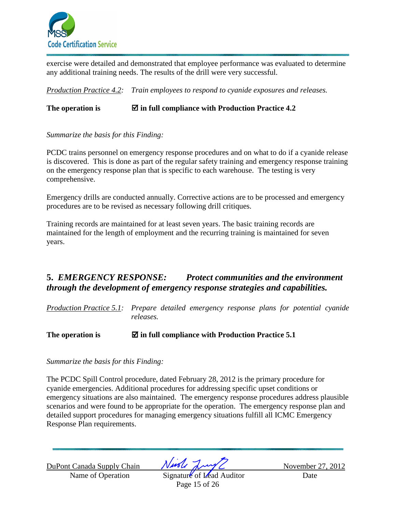

exercise were detailed and demonstrated that employee performance was evaluated to determine any additional training needs. The results of the drill were very successful.

*Production Practice 4.2: Train employees to respond to cyanide exposures and releases.*

### **The operation is in full compliance with Production Practice 4.2**

*Summarize the basis for this Finding:* 

PCDC trains personnel on emergency response procedures and on what to do if a cyanide release is discovered. This is done as part of the regular safety training and emergency response training on the emergency response plan that is specific to each warehouse. The testing is very comprehensive.

Emergency drills are conducted annually. Corrective actions are to be processed and emergency procedures are to be revised as necessary following drill critiques.

Training records are maintained for at least seven years. The basic training records are maintained for the length of employment and the recurring training is maintained for seven years.

# **5.** *EMERGENCY RESPONSE: Protect communities and the environment through the development of emergency response strategies and capabilities.*

*Production Practice 5.1: Prepare detailed emergency response plans for potential cyanide releases.* 

**The operation is in full compliance with Production Practice 5.1** 

*Summarize the basis for this Finding:* 

The PCDC Spill Control procedure, dated February 28, 2012 is the primary procedure for cyanide emergencies. Additional procedures for addressing specific upset conditions or emergency situations are also maintained. The emergency response procedures address plausible scenarios and were found to be appropriate for the operation. The emergency response plan and detailed support procedures for managing emergency situations fulfill all ICMC Emergency Response Plan requirements.

DuPont Canada Supply Chain  $\sqrt{M\sqrt{L}}$  November 27, 2012

Name of Operation Signature of Lead Auditor Date Page 15 of 26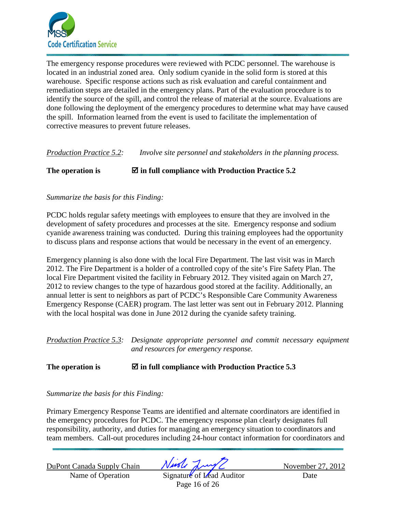

The emergency response procedures were reviewed with PCDC personnel. The warehouse is located in an industrial zoned area. Only sodium cyanide in the solid form is stored at this warehouse. Specific response actions such as risk evaluation and careful containment and remediation steps are detailed in the emergency plans. Part of the evaluation procedure is to identify the source of the spill, and control the release of material at the source. Evaluations are done following the deployment of the emergency procedures to determine what may have caused the spill. Information learned from the event is used to facilitate the implementation of corrective measures to prevent future releases.

*Production Practice 5.2: Involve site personnel and stakeholders in the planning process.* 

**The operation is in full compliance with Production Practice 5.2** 

#### *Summarize the basis for this Finding:*

PCDC holds regular safety meetings with employees to ensure that they are involved in the development of safety procedures and processes at the site. Emergency response and sodium cyanide awareness training was conducted. During this training employees had the opportunity to discuss plans and response actions that would be necessary in the event of an emergency.

Emergency planning is also done with the local Fire Department. The last visit was in March 2012. The Fire Department is a holder of a controlled copy of the site's Fire Safety Plan. The local Fire Department visited the facility in February 2012. They visited again on March 27, 2012 to review changes to the type of hazardous good stored at the facility. Additionally, an annual letter is sent to neighbors as part of PCDC's Responsible Care Community Awareness Emergency Response (CAER) program. The last letter was sent out in February 2012. Planning with the local hospital was done in June 2012 during the cyanide safety training.

*Production Practice 5.3: Designate appropriate personnel and commit necessary equipment and resources for emergency response.* 

### **The operation is in full compliance with Production Practice 5.3**

*Summarize the basis for this Finding:* 

Primary Emergency Response Teams are identified and alternate coordinators are identified in the emergency procedures for PCDC. The emergency response plan clearly designates full responsibility, authority, and duties for managing an emergency situation to coordinators and team members. Call-out procedures including 24-hour contact information for coordinators and

DuPont Canada Supply Chain  $\frac{\sqrt{M\sqrt{L}}}{\sqrt{M\sqrt{L}}}$  November 27, 2012

Name of Operation Signature of Lead Auditor Date Page 16 of 26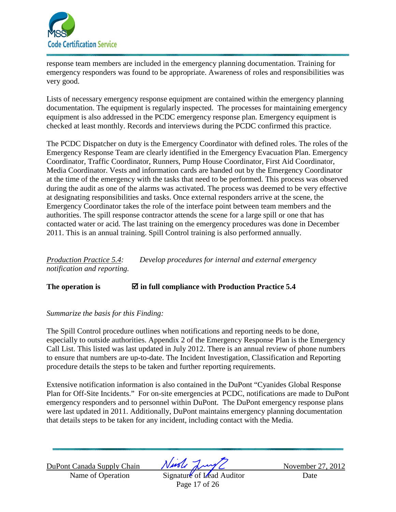

response team members are included in the emergency planning documentation. Training for emergency responders was found to be appropriate. Awareness of roles and responsibilities was very good.

Lists of necessary emergency response equipment are contained within the emergency planning documentation. The equipment is regularly inspected. The processes for maintaining emergency equipment is also addressed in the PCDC emergency response plan. Emergency equipment is checked at least monthly. Records and interviews during the PCDC confirmed this practice.

The PCDC Dispatcher on duty is the Emergency Coordinator with defined roles. The roles of the Emergency Response Team are clearly identified in the Emergency Evacuation Plan. Emergency Coordinator, Traffic Coordinator, Runners, Pump House Coordinator, First Aid Coordinator, Media Coordinator. Vests and information cards are handed out by the Emergency Coordinator at the time of the emergency with the tasks that need to be performed. This process was observed during the audit as one of the alarms was activated. The process was deemed to be very effective at designating responsibilities and tasks. Once external responders arrive at the scene, the Emergency Coordinator takes the role of the interface point between team members and the authorities. The spill response contractor attends the scene for a large spill or one that has contacted water or acid. The last training on the emergency procedures was done in December 2011. This is an annual training. Spill Control training is also performed annually.

*Production Practice 5.4: Develop procedures for internal and external emergency notification and reporting.*

**The operation is in full compliance with Production Practice 5.4** 

#### *Summarize the basis for this Finding:*

The Spill Control procedure outlines when notifications and reporting needs to be done, especially to outside authorities. Appendix 2 of the Emergency Response Plan is the Emergency Call List. This listed was last updated in July 2012. There is an annual review of phone numbers to ensure that numbers are up-to-date. The Incident Investigation, Classification and Reporting procedure details the steps to be taken and further reporting requirements.

Extensive notification information is also contained in the DuPont "Cyanides Global Response Plan for Off-Site Incidents." For on-site emergencies at PCDC, notifications are made to DuPont emergency responders and to personnel within DuPont. The DuPont emergency response plans were last updated in 2011. Additionally, DuPont maintains emergency planning documentation that details steps to be taken for any incident, including contact with the Media.

DuPont Canada Supply Chain  $\sqrt{M\sqrt{L}}$  November 27, 2012

Name of Operation Signature of Lead Auditor Date Page 17 of 26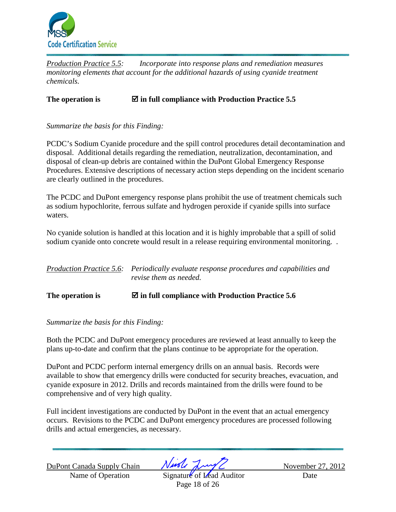

*Production Practice 5.5: Incorporate into response plans and remediation measures monitoring elements that account for the additional hazards of using cyanide treatment chemicals.* 

**The operation is in full compliance with Production Practice 5.5** 

*Summarize the basis for this Finding:* 

PCDC's Sodium Cyanide procedure and the spill control procedures detail decontamination and disposal. Additional details regarding the remediation, neutralization, decontamination, and disposal of clean-up debris are contained within the DuPont Global Emergency Response Procedures. Extensive descriptions of necessary action steps depending on the incident scenario are clearly outlined in the procedures.

The PCDC and DuPont emergency response plans prohibit the use of treatment chemicals such as sodium hypochlorite, ferrous sulfate and hydrogen peroxide if cyanide spills into surface waters.

No cyanide solution is handled at this location and it is highly improbable that a spill of solid sodium cyanide onto concrete would result in a release requiring environmental monitoring. .

| Production Practice 5.6: Periodically evaluate response procedures and capabilities and |
|-----------------------------------------------------------------------------------------|
| revise them as needed.                                                                  |
|                                                                                         |

**The operation is in full compliance with Production Practice 5.6** 

*Summarize the basis for this Finding:* 

Both the PCDC and DuPont emergency procedures are reviewed at least annually to keep the plans up-to-date and confirm that the plans continue to be appropriate for the operation.

DuPont and PCDC perform internal emergency drills on an annual basis. Records were available to show that emergency drills were conducted for security breaches, evacuation, and cyanide exposure in 2012. Drills and records maintained from the drills were found to be comprehensive and of very high quality.

Full incident investigations are conducted by DuPont in the event that an actual emergency occurs. Revisions to the PCDC and DuPont emergency procedures are processed following drills and actual emergencies, as necessary.

DuPont Canada Supply Chain  $\sqrt{M\sqrt{L}}$  November 27, 2012

Name of Operation Signature of Lead Auditor Date Page 18 of 26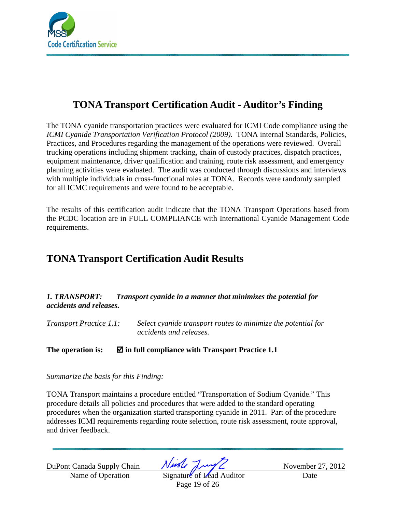

# **TONA Transport Certification Audit - Auditor's Finding**

The TONA cyanide transportation practices were evaluated for ICMI Code compliance using the *ICMI Cyanide Transportation Verification Protocol (2009).* TONA internal Standards, Policies, Practices, and Procedures regarding the management of the operations were reviewed. Overall trucking operations including shipment tracking, chain of custody practices, dispatch practices, equipment maintenance, driver qualification and training, route risk assessment, and emergency planning activities were evaluated. The audit was conducted through discussions and interviews with multiple individuals in cross-functional roles at TONA. Records were randomly sampled for all ICMC requirements and were found to be acceptable.

The results of this certification audit indicate that the TONA Transport Operations based from the PCDC location are in FULL COMPLIANCE with International Cyanide Management Code requirements.

# **TONA Transport Certification Audit Results**

*1. TRANSPORT: Transport cyanide in a manner that minimizes the potential for accidents and releases.* 

*Transport Practice 1.1: Select cyanide transport routes to minimize the potential for accidents and releases.* 

**The operation is: in full compliance with Transport Practice 1.1** 

*Summarize the basis for this Finding:* 

TONA Transport maintains a procedure entitled "Transportation of Sodium Cyanide." This procedure details all policies and procedures that were added to the standard operating procedures when the organization started transporting cyanide in 2011. Part of the procedure addresses ICMI requirements regarding route selection, route risk assessment, route approval, and driver feedback.

DuPont Canada Supply Chain  $\sqrt{M\sqrt{L}}$  November 27, 2012

Name of Operation Signature of Lead Auditor Date Page 19 of 26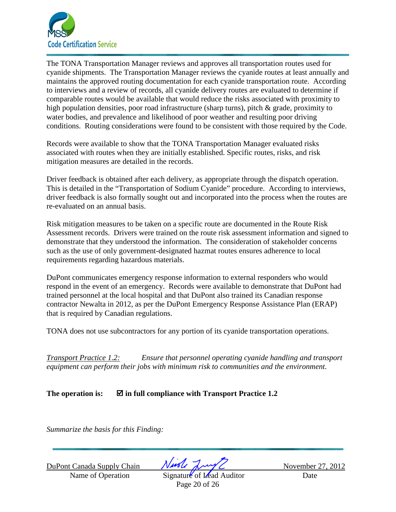

The TONA Transportation Manager reviews and approves all transportation routes used for cyanide shipments. The Transportation Manager reviews the cyanide routes at least annually and maintains the approved routing documentation for each cyanide transportation route. According to interviews and a review of records, all cyanide delivery routes are evaluated to determine if comparable routes would be available that would reduce the risks associated with proximity to high population densities, poor road infrastructure (sharp turns), pitch & grade, proximity to water bodies, and prevalence and likelihood of poor weather and resulting poor driving conditions. Routing considerations were found to be consistent with those required by the Code.

Records were available to show that the TONA Transportation Manager evaluated risks associated with routes when they are initially established. Specific routes, risks, and risk mitigation measures are detailed in the records.

Driver feedback is obtained after each delivery, as appropriate through the dispatch operation. This is detailed in the "Transportation of Sodium Cyanide" procedure. According to interviews, driver feedback is also formally sought out and incorporated into the process when the routes are re-evaluated on an annual basis.

Risk mitigation measures to be taken on a specific route are documented in the Route Risk Assessment records. Drivers were trained on the route risk assessment information and signed to demonstrate that they understood the information. The consideration of stakeholder concerns such as the use of only government-designated hazmat routes ensures adherence to local requirements regarding hazardous materials.

DuPont communicates emergency response information to external responders who would respond in the event of an emergency. Records were available to demonstrate that DuPont had trained personnel at the local hospital and that DuPont also trained its Canadian response contractor Newalta in 2012, as per the DuPont Emergency Response Assistance Plan (ERAP) that is required by Canadian regulations.

TONA does not use subcontractors for any portion of its cyanide transportation operations.

*Transport Practice 1.2: Ensure that personnel operating cyanide handling and transport equipment can perform their jobs with minimum risk to communities and the environment.* 

The operation is:  $\boxtimes$  in full compliance with Transport Practice 1.2

*Summarize the basis for this Finding:* 

DuPont Canada Supply Chain  $\sqrt{M\sqrt{L}}$  November 27, 2012

Name of Operation Signature of Lead Auditor Date Page 20 of 26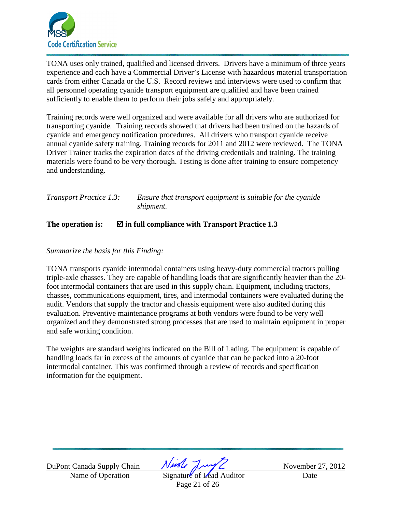

TONA uses only trained, qualified and licensed drivers. Drivers have a minimum of three years experience and each have a Commercial Driver's License with hazardous material transportation cards from either Canada or the U.S. Record reviews and interviews were used to confirm that all personnel operating cyanide transport equipment are qualified and have been trained sufficiently to enable them to perform their jobs safely and appropriately.

Training records were well organized and were available for all drivers who are authorized for transporting cyanide. Training records showed that drivers had been trained on the hazards of cyanide and emergency notification procedures. All drivers who transport cyanide receive annual cyanide safety training. Training records for 2011 and 2012 were reviewed. The TONA Driver Trainer tracks the expiration dates of the driving credentials and training. The training materials were found to be very thorough. Testing is done after training to ensure competency and understanding.

*Transport Practice 1.3: Ensure that transport equipment is suitable for the cyanide shipment.*

### The operation is:  $\Box$  in full compliance with Transport Practice 1.3

#### *Summarize the basis for this Finding:*

TONA transports cyanide intermodal containers using heavy-duty commercial tractors pulling triple-axle chasses. They are capable of handling loads that are significantly heavier than the 20 foot intermodal containers that are used in this supply chain. Equipment, including tractors, chasses, communications equipment, tires, and intermodal containers were evaluated during the audit. Vendors that supply the tractor and chassis equipment were also audited during this evaluation. Preventive maintenance programs at both vendors were found to be very well organized and they demonstrated strong processes that are used to maintain equipment in proper and safe working condition.

The weights are standard weights indicated on the Bill of Lading. The equipment is capable of handling loads far in excess of the amounts of cyanide that can be packed into a 20-foot intermodal container. This was confirmed through a review of records and specification information for the equipment.

DuPont Canada Supply Chain  $\sqrt{M\sqrt{L}}$  November 27, 2012

Name of Operation Signature of Lead Auditor Date Page 21 of 26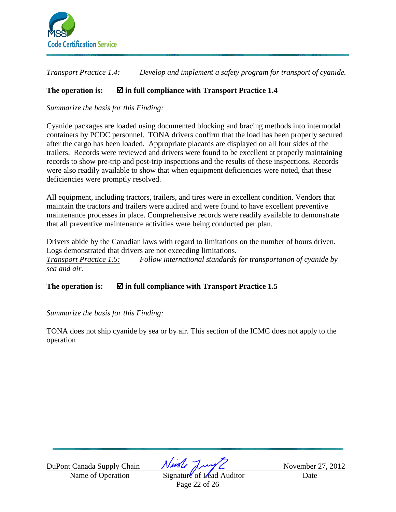

*Transport Practice 1.4: Develop and implement a safety program for transport of cyanide.* 

## **The operation is: in full compliance with Transport Practice 1.4**

*Summarize the basis for this Finding:* 

Cyanide packages are loaded using documented blocking and bracing methods into intermodal containers by PCDC personnel. TONA drivers confirm that the load has been properly secured after the cargo has been loaded. Appropriate placards are displayed on all four sides of the trailers. Records were reviewed and drivers were found to be excellent at properly maintaining records to show pre-trip and post-trip inspections and the results of these inspections. Records were also readily available to show that when equipment deficiencies were noted, that these deficiencies were promptly resolved.

All equipment, including tractors, trailers, and tires were in excellent condition. Vendors that maintain the tractors and trailers were audited and were found to have excellent preventive maintenance processes in place. Comprehensive records were readily available to demonstrate that all preventive maintenance activities were being conducted per plan.

Drivers abide by the Canadian laws with regard to limitations on the number of hours driven. Logs demonstrated that drivers are not exceeding limitations. *Transport Practice 1.5: Follow international standards for transportation of cyanide by sea and air.*

The operation is:  $\boxtimes$  in full compliance with Transport Practice 1.5

*Summarize the basis for this Finding:* 

TONA does not ship cyanide by sea or by air. This section of the ICMC does not apply to the operation

DuPont Canada Supply Chain  $\sqrt{M\sqrt{L}}$  November 27, 2012

Name of Operation Signature of Lead Auditor Date Page 22 of 26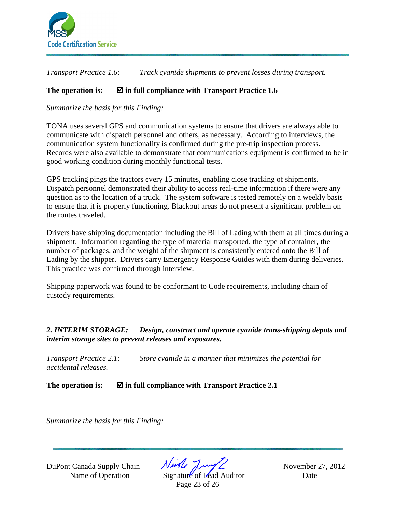

*Transport Practice 1.6: Track cyanide shipments to prevent losses during transport.* 

### **The operation is: in full compliance with Transport Practice 1.6**

*Summarize the basis for this Finding:*

TONA uses several GPS and communication systems to ensure that drivers are always able to communicate with dispatch personnel and others, as necessary. According to interviews, the communication system functionality is confirmed during the pre-trip inspection process. Records were also available to demonstrate that communications equipment is confirmed to be in good working condition during monthly functional tests.

GPS tracking pings the tractors every 15 minutes, enabling close tracking of shipments. Dispatch personnel demonstrated their ability to access real-time information if there were any question as to the location of a truck. The system software is tested remotely on a weekly basis to ensure that it is properly functioning. Blackout areas do not present a significant problem on the routes traveled.

Drivers have shipping documentation including the Bill of Lading with them at all times during a shipment. Information regarding the type of material transported, the type of container, the number of packages, and the weight of the shipment is consistently entered onto the Bill of Lading by the shipper. Drivers carry Emergency Response Guides with them during deliveries. This practice was confirmed through interview.

Shipping paperwork was found to be conformant to Code requirements, including chain of custody requirements.

### *2. INTERIM STORAGE: Design, construct and operate cyanide trans-shipping depots and interim storage sites to prevent releases and exposures.*

*Transport Practice 2.1: Store cyanide in a manner that minimizes the potential for accidental releases.* 

**The operation is: in full compliance with Transport Practice 2.1** 

*Summarize the basis for this Finding:* 

DuPont Canada Supply Chain  $\sqrt{M\sqrt{L}}$  November 27, 2012

Name of Operation Signature of Lead Auditor Date Page 23 of 26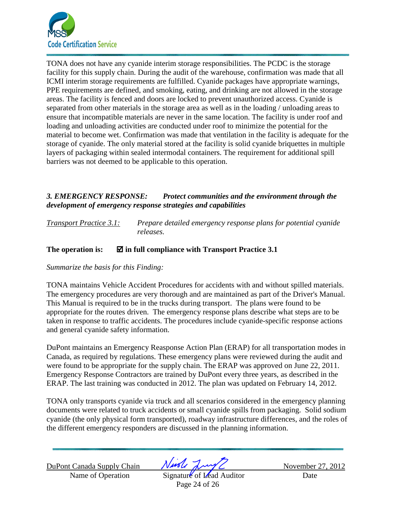

TONA does not have any cyanide interim storage responsibilities. The PCDC is the storage facility for this supply chain. During the audit of the warehouse, confirmation was made that all ICMI interim storage requirements are fulfilled. Cyanide packages have appropriate warnings, PPE requirements are defined, and smoking, eating, and drinking are not allowed in the storage areas. The facility is fenced and doors are locked to prevent unauthorized access. Cyanide is separated from other materials in the storage area as well as in the loading / unloading areas to ensure that incompatible materials are never in the same location. The facility is under roof and loading and unloading activities are conducted under roof to minimize the potential for the material to become wet. Confirmation was made that ventilation in the facility is adequate for the storage of cyanide. The only material stored at the facility is solid cyanide briquettes in multiple layers of packaging within sealed intermodal containers. The requirement for additional spill barriers was not deemed to be applicable to this operation.

### *3. EMERGENCY RESPONSE: Protect communities and the environment through the development of emergency response strategies and capabilities*

*Transport Practice 3.1: Prepare detailed emergency response plans for potential cyanide releases.* 

### **The operation is: in full compliance with Transport Practice 3.1**

*Summarize the basis for this Finding:* 

TONA maintains Vehicle Accident Procedures for accidents with and without spilled materials. The emergency procedures are very thorough and are maintained as part of the Driver's Manual. This Manual is required to be in the trucks during transport. The plans were found to be appropriate for the routes driven. The emergency response plans describe what steps are to be taken in response to traffic accidents. The procedures include cyanide-specific response actions and general cyanide safety information.

DuPont maintains an Emergency Reasponse Action Plan (ERAP) for all transportation modes in Canada, as required by regulations. These emergency plans were reviewed during the audit and were found to be appropriate for the supply chain. The ERAP was approved on June 22, 2011. Emergency Response Contractors are trained by DuPont every three years, as described in the ERAP. The last training was conducted in 2012. The plan was updated on February 14, 2012.

TONA only transports cyanide via truck and all scenarios considered in the emergency planning documents were related to truck accidents or small cyanide spills from packaging. Solid sodium cyanide (the only physical form transported), roadway infrastructure differences, and the roles of the different emergency responders are discussed in the planning information.

DuPont Canada Supply Chain  $\sqrt{M\sqrt{L}}$  November 27, 2012

Name of Operation Signature of Lead Auditor Date Page 24 of 26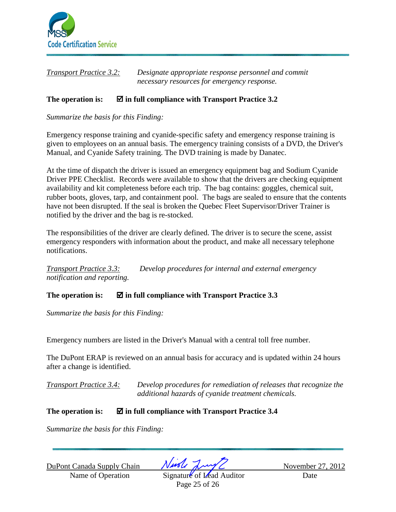

| <b>Transport Practice 3.2:</b> | Designate appropriate response personnel and commit |
|--------------------------------|-----------------------------------------------------|
|                                | necessary resources for emergency response.         |

#### The operation is:  $\boxtimes$  in full compliance with Transport Practice 3.2

*Summarize the basis for this Finding:* 

Emergency response training and cyanide-specific safety and emergency response training is given to employees on an annual basis. The emergency training consists of a DVD, the Driver's Manual, and Cyanide Safety training. The DVD training is made by Danatec.

At the time of dispatch the driver is issued an emergency equipment bag and Sodium Cyanide Driver PPE Checklist. Records were available to show that the drivers are checking equipment availability and kit completeness before each trip. The bag contains: goggles, chemical suit, rubber boots, gloves, tarp, and containment pool. The bags are sealed to ensure that the contents have not been disrupted. If the seal is broken the Quebec Fleet Supervisor/Driver Trainer is notified by the driver and the bag is re-stocked.

The responsibilities of the driver are clearly defined. The driver is to secure the scene, assist emergency responders with information about the product, and make all necessary telephone notifications.

*Transport Practice 3.3: Develop procedures for internal and external emergency notification and reporting.*

**The operation is: in full compliance with Transport Practice 3.3** 

*Summarize the basis for this Finding:* 

Emergency numbers are listed in the Driver's Manual with a central toll free number.

The DuPont ERAP is reviewed on an annual basis for accuracy and is updated within 24 hours after a change is identified.

*Transport Practice 3.4: Develop procedures for remediation of releases that recognize the additional hazards of cyanide treatment chemicals.*

### **The operation is: in full compliance with Transport Practice 3.4**

*Summarize the basis for this Finding:* 

DuPont Canada Supply Chain  $\sqrt{M\sqrt{L}}$  November 27, 2012

Name of Operation Signature of Lead Auditor Date Page 25 of 26